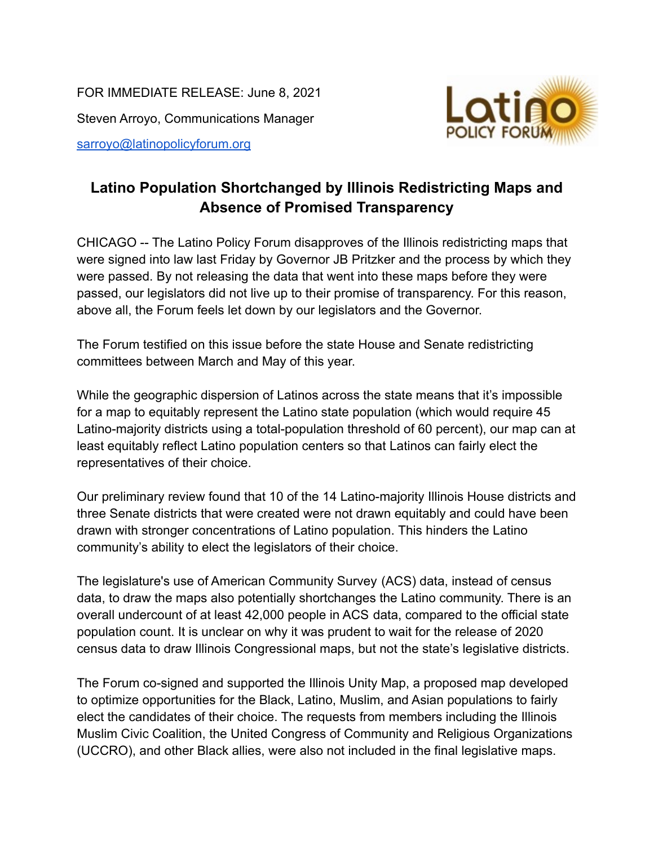FOR IMMEDIATE RELEASE: June 8, 2021 Steven Arroyo, Communications Manager [sarroyo@latinopolicyforum.org](mailto:sarroyo@latinopolicyforum.org)



## **Latino Population Shortchanged by Illinois Redistricting Maps and Absence of Promised Transparency**

CHICAGO -- The Latino Policy Forum disapproves of the Illinois redistricting maps that were signed into law last Friday by Governor JB Pritzker and the process by which they were passed. By not releasing the data that went into these maps before they were passed, our legislators did not live up to their promise of transparency. For this reason, above all, the Forum feels let down by our legislators and the Governor.

The Forum testified on this issue before the state House and Senate redistricting committees between March and May of this year.

While the geographic dispersion of Latinos across the state means that it's impossible for a map to equitably represent the Latino state population (which would require 45 Latino-majority districts using a total-population threshold of 60 percent), our map can at least equitably reflect Latino population centers so that Latinos can fairly elect the representatives of their choice.

Our preliminary review found that 10 of the 14 Latino-majority Illinois House districts and three Senate districts that were created were not drawn equitably and could have been drawn with stronger concentrations of Latino population. This hinders the Latino community's ability to elect the legislators of their choice.

The legislature's use of American Community Survey (ACS) data, instead of census data, to draw the maps also potentially shortchanges the Latino community. There is an overall undercount of at least 42,000 people in ACS data, compared to the official state population count. It is unclear on why it was prudent to wait for the release of 2020 census data to draw Illinois Congressional maps, but not the state's legislative districts.

The Forum co-signed and supported the Illinois Unity Map, a proposed map developed to optimize opportunities for the Black, Latino, Muslim, and Asian populations to fairly elect the candidates of their choice. The requests from members including the Illinois Muslim Civic Coalition, the United Congress of Community and Religious Organizations (UCCRO), and other Black allies, were also not included in the final legislative maps.